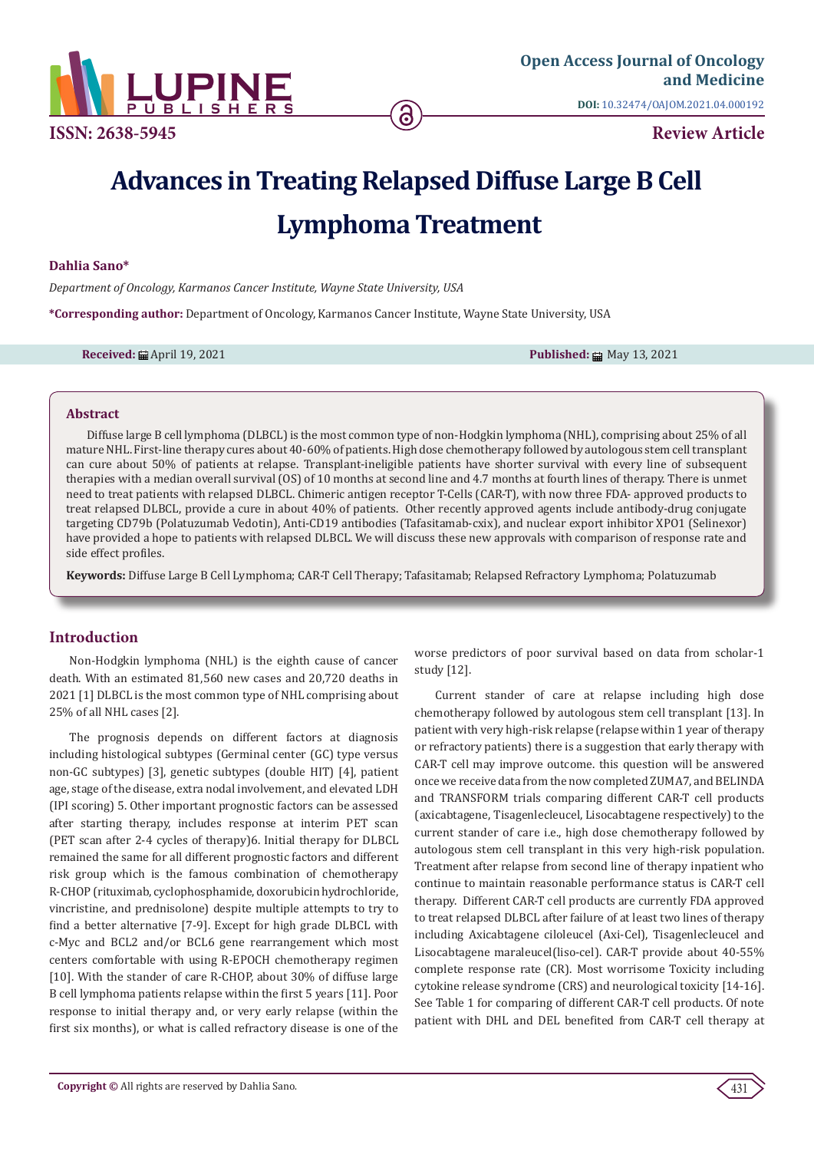

# **Advances in Treating Relapsed Diffuse Large B Cell Lymphoma Treatment**

## **Dahlia Sano\***

*Department of Oncology, Karmanos Cancer Institute, Wayne State University, USA*

**\*Corresponding author:** Department of Oncology, Karmanos Cancer Institute, Wayne State University, USA

**Received:** 曲 April 19, 2021 **Published:** http://www.industrial.com/en/community/integrate/integrate/integrate/integrate/integrate/integrate/integrate/integrate/integrate/integrate/integrate/integrate/integrate/integrate/

#### **Abstract**

Diffuse large B cell lymphoma (DLBCL) is the most common type of non-Hodgkin lymphoma (NHL), comprising about 25% of all mature NHL. First-line therapy cures about 40-60% of patients. High dose chemotherapy followed by autologous stem cell transplant can cure about 50% of patients at relapse. Transplant-ineligible patients have shorter survival with every line of subsequent therapies with a median overall survival (OS) of 10 months at second line and 4.7 months at fourth lines of therapy. There is unmet need to treat patients with relapsed DLBCL. Chimeric antigen receptor T-Cells (CAR-T), with now three FDA- approved products to treat relapsed DLBCL, provide a cure in about 40% of patients. Other recently approved agents include antibody-drug conjugate targeting CD79b (Polatuzumab Vedotin), Anti-CD19 antibodies (Tafasitamab-cxix), and nuclear export inhibitor XPO1 (Selinexor) have provided a hope to patients with relapsed DLBCL. We will discuss these new approvals with comparison of response rate and side effect profiles.

**Keywords:** Diffuse Large B Cell Lymphoma; CAR-T Cell Therapy; Tafasitamab; Relapsed Refractory Lymphoma; Polatuzumab

# **Introduction**

Non-Hodgkin lymphoma (NHL) is the eighth cause of cancer death. With an estimated 81,560 new cases and 20,720 deaths in 2021 [1] DLBCL is the most common type of NHL comprising about 25% of all NHL cases [2].

The prognosis depends on different factors at diagnosis including histological subtypes (Germinal center (GC) type versus non-GC subtypes) [3], genetic subtypes (double HIT) [4], patient age, stage of the disease, extra nodal involvement, and elevated LDH (IPI scoring) 5. Other important prognostic factors can be assessed after starting therapy, includes response at interim PET scan (PET scan after 2-4 cycles of therapy)6. Initial therapy for DLBCL remained the same for all different prognostic factors and different risk group which is the famous combination of chemotherapy R-CHOP (rituximab, cyclophosphamide, doxorubicin hydrochloride, vincristine, and prednisolone) despite multiple attempts to try to find a better alternative [7-9]. Except for high grade DLBCL with c-Myc and BCL2 and/or BCL6 gene rearrangement which most centers comfortable with using R-EPOCH chemotherapy regimen [10]. With the stander of care R-CHOP, about 30% of diffuse large B cell lymphoma patients relapse within the first 5 years [11]. Poor response to initial therapy and, or very early relapse (within the first six months), or what is called refractory disease is one of the

worse predictors of poor survival based on data from scholar-1 study [12].

Current stander of care at relapse including high dose chemotherapy followed by autologous stem cell transplant [13]. In patient with very high-risk relapse (relapse within 1 year of therapy or refractory patients) there is a suggestion that early therapy with CAR-T cell may improve outcome. this question will be answered once we receive data from the now completed ZUMA7, and BELINDA and TRANSFORM trials comparing different CAR-T cell products (axicabtagene, Tisagenlecleucel, Lisocabtagene respectively) to the current stander of care i.e., high dose chemotherapy followed by autologous stem cell transplant in this very high-risk population. Treatment after relapse from second line of therapy inpatient who continue to maintain reasonable performance status is CAR-T cell therapy. Different CAR-T cell products are currently FDA approved to treat relapsed DLBCL after failure of at least two lines of therapy including Axicabtagene ciloleucel (Axi-Cel), Tisagenlecleucel and Lisocabtagene maraleucel(liso-cel). CAR-T provide about 40-55% complete response rate (CR). Most worrisome Toxicity including cytokine release syndrome (CRS) and neurological toxicity [14-16]. See Table 1 for comparing of different CAR-T cell products. Of note patient with DHL and DEL benefited from CAR-T cell therapy at

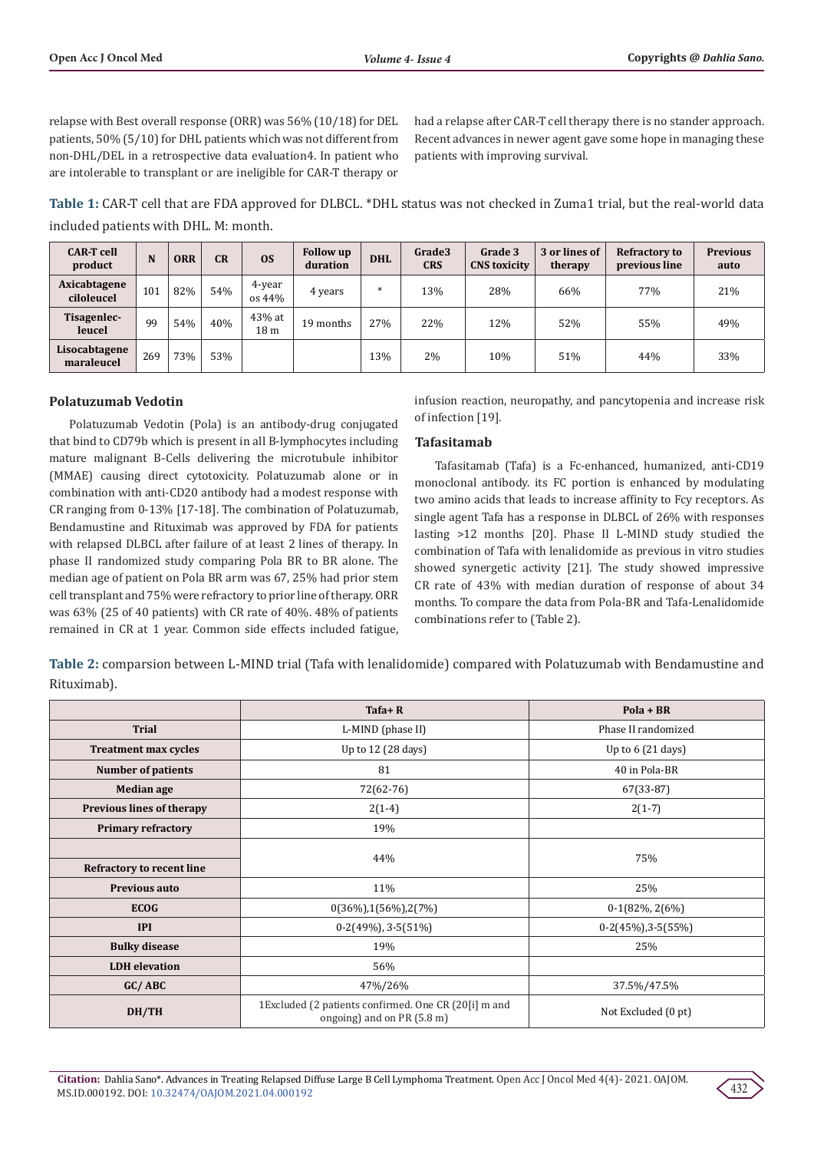relapse with Best overall response (ORR) was 56% (10/18) for DEL patients, 50% (5/10) for DHL patients which was not different from non-DHL/DEL in a retrospective data evaluation4. In patient who are intolerable to transplant or are ineligible for CAR-T therapy or

had a relapse after CAR-T cell therapy there is no stander approach. Recent advances in newer agent gave some hope in managing these patients with improving survival.

**Table 1:** CAR-T cell that are FDA approved for DLBCL. \*DHL status was not checked in Zuma1 trial, but the real-world data included patients with DHL. M: month.

| <b>CAR-T</b> cell<br>product | N   | <b>ORR</b> | CR  | 0S                        | <b>Follow up</b><br>duration | <b>DHL</b> | Grade3<br><b>CRS</b> | Grade 3<br><b>CNS</b> toxicity | 3 or lines of<br>therapy | <b>Refractory to</b><br>previous line | <b>Previous</b><br>auto |
|------------------------------|-----|------------|-----|---------------------------|------------------------------|------------|----------------------|--------------------------------|--------------------------|---------------------------------------|-------------------------|
| Axicabtagene<br>ciloleucel   | 101 | 82%        | 54% | 4-year<br>os 44%          | 4 years                      | $*$        | 13%                  | 28%                            | 66%                      | 77%                                   | 21%                     |
| Tisagenlec-<br>leucel        | 99  | 54%        | 40% | 43% at<br>18 <sub>m</sub> | 19 months                    | 27%        | 22%                  | 12%                            | 52%                      | 55%                                   | 49%                     |
| Lisocabtagene<br>maraleucel  | 269 | 73%        | 53% |                           |                              | 13%        | 2%                   | 10%                            | 51%                      | 44%                                   | 33%                     |

# **Polatuzumab Vedotin**

Polatuzumab Vedotin (Pola) is an antibody-drug conjugated that bind to CD79b which is present in all B-lymphocytes including mature malignant B-Cells delivering the microtubule inhibitor (MMAE) causing direct cytotoxicity. Polatuzumab alone or in combination with anti-CD20 antibody had a modest response with CR ranging from 0-13% [17-18]. The combination of Polatuzumab, Bendamustine and Rituximab was approved by FDA for patients with relapsed DLBCL after failure of at least 2 lines of therapy. In phase II randomized study comparing Pola BR to BR alone. The median age of patient on Pola BR arm was 67, 25% had prior stem cell transplant and 75% were refractory to prior line of therapy. ORR was 63% (25 of 40 patients) with CR rate of 40%. 48% of patients remained in CR at 1 year. Common side effects included fatigue,

infusion reaction, neuropathy, and pancytopenia and increase risk of infection [19].

## **Tafasitamab**

Tafasitamab (Tafa) is a Fc-enhanced, humanized, anti-CD19 monoclonal antibody. its FC portion is enhanced by modulating two amino acids that leads to increase affinity to Fcy receptors. As single agent Tafa has a response in DLBCL of 26% with responses lasting >12 months [20]. Phase II L-MIND study studied the combination of Tafa with lenalidomide as previous in vitro studies showed synergetic activity [21]. The study showed impressive CR rate of 43% with median duration of response of about 34 months. To compare the data from Pola-BR and Tafa-Lenalidomide combinations refer to (Table 2).

**Table 2:** comparsion between L-MIND trial (Tafa with lenalidomide) compared with Polatuzumab with Bendamustine and Rituximab).

|                             | $Tafa+R$                                                                           | $Pola + BR$                |  |
|-----------------------------|------------------------------------------------------------------------------------|----------------------------|--|
| <b>Trial</b>                | L-MIND (phase II)                                                                  | Phase II randomized        |  |
| <b>Treatment max cycles</b> | Up to 12 (28 days)                                                                 | Up to $6(21 \text{ days})$ |  |
| <b>Number of patients</b>   | 81                                                                                 | 40 in Pola-BR              |  |
| <b>Median</b> age           | 72(62-76)                                                                          | $67(33-87)$                |  |
| Previous lines of therapy   | $2(1-4)$                                                                           | $2(1-7)$                   |  |
| <b>Primary refractory</b>   | 19%                                                                                |                            |  |
|                             |                                                                                    |                            |  |
| Refractory to recent line   | 44%                                                                                | 75%                        |  |
| Previous auto               | 11%                                                                                | 25%                        |  |
| <b>ECOG</b>                 | $0(36\%)$ , 1(56%), 2(7%)                                                          | $0-1(82\%, 2(6\%)$         |  |
| <b>IPI</b>                  | $0-2(49\%)$ , 3-5(51%)                                                             | $0-2(45\%)$ , 3 $-5(55\%)$ |  |
| <b>Bulky disease</b>        | 19%                                                                                | 25%                        |  |
| <b>LDH</b> elevation        | 56%                                                                                |                            |  |
| GC/ABC                      | 47%/26%                                                                            | 37.5%/47.5%                |  |
| DH/TH                       | 1Excluded (2 patients confirmed. One CR (20[i] m and<br>ongoing) and on PR (5.8 m) | Not Excluded (0 pt)        |  |

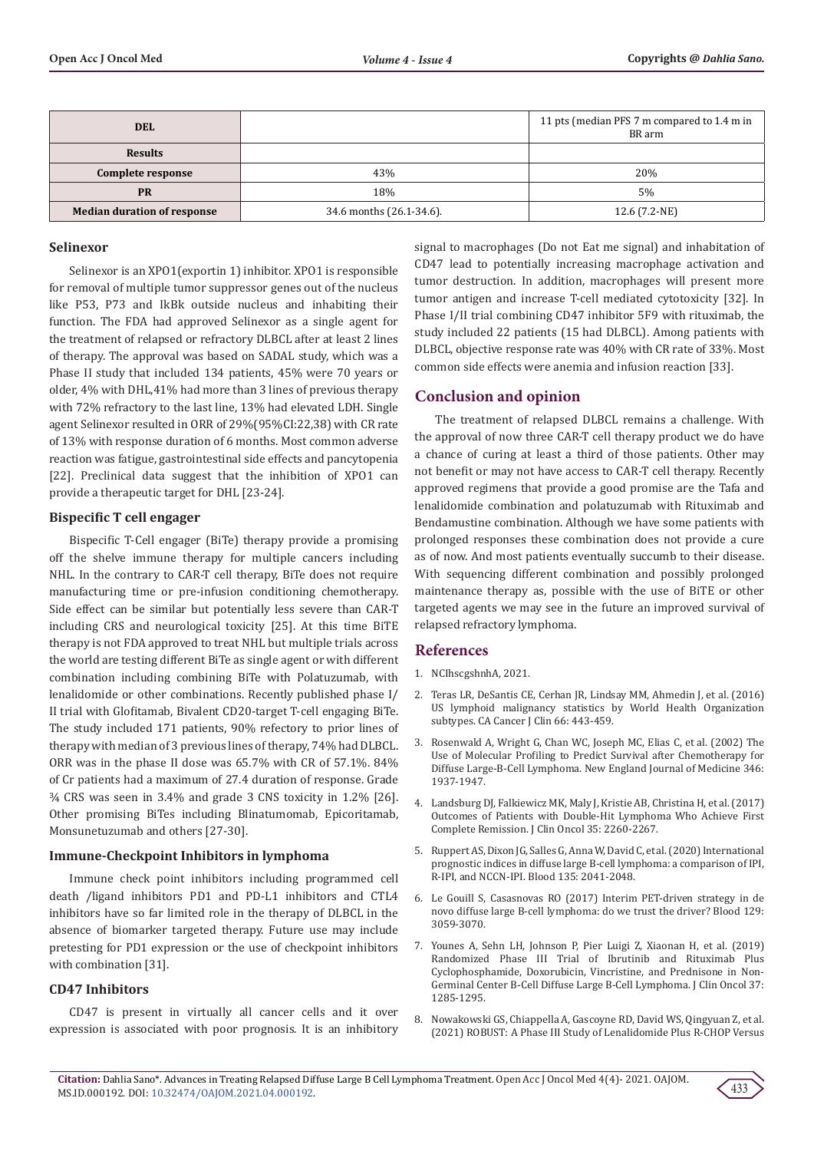| <b>DEL</b>                         |                          | 11 pts (median PFS 7 m compared to 1.4 m in<br>BR arm |
|------------------------------------|--------------------------|-------------------------------------------------------|
| <b>Results</b>                     |                          |                                                       |
| Complete response                  | 43%                      | 20%                                                   |
| <b>PR</b>                          | 18%                      | 5%                                                    |
| <b>Median duration of response</b> | 34.6 months (26.1-34.6). | 12.6 (7.2-NE)                                         |

#### **Selinexor**

Selinexor is an XPO1(exportin 1) inhibitor. XPO1 is responsible for removal of multiple tumor suppressor genes out of the nucleus like P53, P73 and IkBk outside nucleus and inhabiting their function. The FDA had approved Selinexor as a single agent for the treatment of relapsed or refractory DLBCL after at least 2 lines of therapy. The approval was based on SADAL study, which was a Phase II study that included 134 patients, 45% were 70 years or older, 4% with DHL,41% had more than 3 lines of previous therapy with 72% refractory to the last line, 13% had elevated LDH. Single agent Selinexor resulted in ORR of 29%(95%CI:22,38) with CR rate of 13% with response duration of 6 months. Most common adverse reaction was fatigue, gastrointestinal side effects and pancytopenia [22]. Preclinical data suggest that the inhibition of XPO1 can provide a therapeutic target for DHL [23-24].

#### **Bispecific T cell engager**

Bispecific T-Cell engager (BiTe) therapy provide a promising off the shelve immune therapy for multiple cancers including NHL. In the contrary to CAR-T cell therapy, BiTe does not require manufacturing time or pre-infusion conditioning chemotherapy. Side effect can be similar but potentially less severe than CAR-T including CRS and neurological toxicity [25]. At this time BiTE therapy is not FDA approved to treat NHL but multiple trials across the world are testing different BiTe as single agent or with different combination including combining BiTe with Polatuzumab, with lenalidomide or other combinations. Recently published phase I/ II trial with Glofitamab, Bivalent CD20-target T-cell engaging BiTe. The study included 171 patients, 90% refectory to prior lines of therapy with median of 3 previous lines of therapy, 74% had DLBCL. ORR was in the phase II dose was 65.7% with CR of 57.1%. 84% of Cr patients had a maximum of 27.4 duration of response. Grade ¾ CRS was seen in 3.4% and grade 3 CNS toxicity in 1.2% [26]. Other promising BiTes including Blinatumomab, Epicoritamab, Monsunetuzumab and others [27-30].

## **Immune-Checkpoint Inhibitors in lymphoma**

Immune check point inhibitors including programmed cell death /ligand inhibitors PD1 and PD-L1 inhibitors and CTL4 inhibitors have so far limited role in the therapy of DLBCL in the absence of biomarker targeted therapy. Future use may include pretesting for PD1 expression or the use of checkpoint inhibitors with combination [31].

#### **CD47 Inhibitors**

CD47 is present in virtually all cancer cells and it over expression is associated with poor prognosis. It is an inhibitory

signal to macrophages (Do not Eat me signal) and inhabitation of CD47 lead to potentially increasing macrophage activation and tumor destruction. In addition, macrophages will present more tumor antigen and increase T-cell mediated cytotoxicity [32]. In Phase I/II trial combining CD47 inhibitor 5F9 with rituximab, the study included 22 patients (15 had DLBCL). Among patients with DLBCL, objective response rate was 40% with CR rate of 33%. Most common side effects were anemia and infusion reaction [33].

## **Conclusion and opinion**

The treatment of relapsed DLBCL remains a challenge. With the approval of now three CAR-T cell therapy product we do have a chance of curing at least a third of those patients. Other may not benefit or may not have access to CAR-T cell therapy. Recently approved regimens that provide a good promise are the Tafa and lenalidomide combination and polatuzumab with Rituximab and Bendamustine combination. Although we have some patients with prolonged responses these combination does not provide a cure as of now. And most patients eventually succumb to their disease. With sequencing different combination and possibly prolonged maintenance therapy as, possible with the use of BiTE or other targeted agents we may see in the future an improved survival of relapsed refractory lymphoma.

## **References**

- 1. NCIhscgshnhA, 2021.
- 2. [Teras LR, DeSantis CE, Cerhan JR, Lindsay MM, Ahmedin J, et al. \(2016\)](https://pubmed.ncbi.nlm.nih.gov/27618563/) [US lymphoid malignancy statistics by World Health Organization](https://pubmed.ncbi.nlm.nih.gov/27618563/) [subtypes. CA Cancer J Clin 66: 443-459.](https://pubmed.ncbi.nlm.nih.gov/27618563/)
- 3. [Rosenwald A, Wright G, Chan WC, Joseph MC, Elias C, et al. \(2002\) The](https://pubmed.ncbi.nlm.nih.gov/12075054/) [Use of Molecular Profiling to Predict Survival after Chemotherapy for](https://pubmed.ncbi.nlm.nih.gov/12075054/) [Diffuse Large-B-Cell Lymphoma. New England Journal of Medicine 346:](https://pubmed.ncbi.nlm.nih.gov/12075054/) [1937-1947.](https://pubmed.ncbi.nlm.nih.gov/12075054/)
- 4. [Landsburg DJ, Falkiewicz MK, Maly J, Kristie AB, Christina H, et al. \(2017\)](https://pubmed.ncbi.nlm.nih.gov/28475457/) [Outcomes of Patients with Double-Hit Lymphoma Who Achieve First](https://pubmed.ncbi.nlm.nih.gov/28475457/) [Complete Remission. J Clin Oncol 35: 2260-2267.](https://pubmed.ncbi.nlm.nih.gov/28475457/)
- 5. [Ruppert AS, Dixon JG, Salles G, Anna W, David C, et al. \(2020\) International](https://pubmed.ncbi.nlm.nih.gov/32232482/) [prognostic indices in diffuse large B-cell lymphoma: a comparison of IPI,](https://pubmed.ncbi.nlm.nih.gov/32232482/) [R-IPI, and NCCN-IPI. Blood 135: 2041-2048.](https://pubmed.ncbi.nlm.nih.gov/32232482/)
- 6. Le Gouill S, Casasnovas RO (2017) Interim PET-driven strategy in de novo diffuse large B-cell lymphoma: do we trust the driver? Blood 129: 3059-3070.
- 7. [Younes A, Sehn LH, Johnson P, Pier Luigi Z, Xiaonan H, et al. \(2019\)](https://pubmed.ncbi.nlm.nih.gov/30901302/) [Randomized Phase III Trial of Ibrutinib and Rituximab Plus](https://pubmed.ncbi.nlm.nih.gov/30901302/) [Cyclophosphamide, Doxorubicin, Vincristine, and Prednisone in Non-](https://pubmed.ncbi.nlm.nih.gov/30901302/)[Germinal Center B-Cell Diffuse Large B-Cell Lymphoma. J Clin Oncol 37:](https://pubmed.ncbi.nlm.nih.gov/30901302/) [1285-1295.](https://pubmed.ncbi.nlm.nih.gov/30901302/)
- 8. [Nowakowski GS, Chiappella A, Gascoyne RD, David WS, Qingyuan Z, et al.](https://pubmed.ncbi.nlm.nih.gov/33621109/) [\(2021\) ROBUST: A Phase III Study of Lenalidomide Plus R-CHOP Versus](https://pubmed.ncbi.nlm.nih.gov/33621109/)

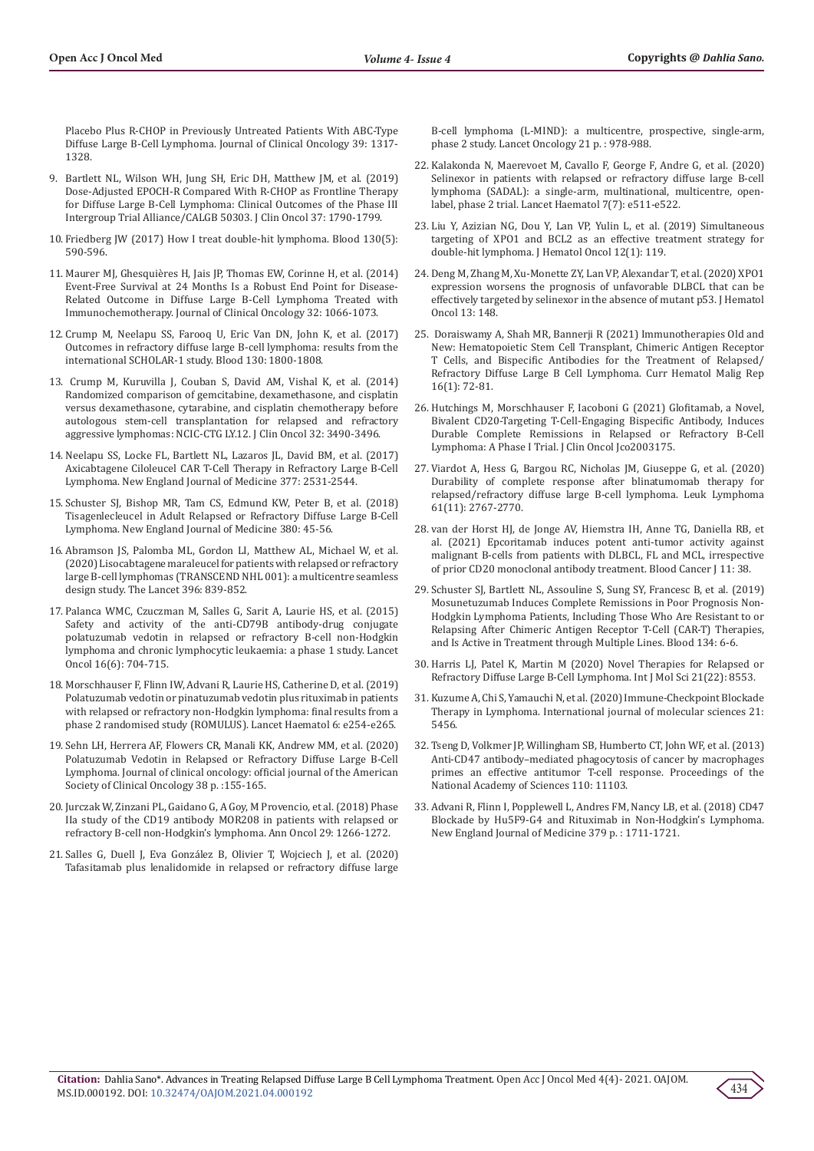[Placebo Plus R-CHOP in Previously Untreated Patients With ABC-Type](https://pubmed.ncbi.nlm.nih.gov/33621109/)  [Diffuse Large B-Cell Lymphoma. Journal of Clinical Oncology 39: 1317-](https://pubmed.ncbi.nlm.nih.gov/33621109/) [1328.](https://pubmed.ncbi.nlm.nih.gov/33621109/)

- 9. [Bartlett NL, Wilson WH, Jung SH, Eric DH, Matthew JM, et al. \(2019\)](https://pubmed.ncbi.nlm.nih.gov/30939090/)  [Dose-Adjusted EPOCH-R Compared With R-CHOP as Frontline Therapy](https://pubmed.ncbi.nlm.nih.gov/30939090/)  [for Diffuse Large B-Cell Lymphoma: Clinical Outcomes of the Phase III](https://pubmed.ncbi.nlm.nih.gov/30939090/)  [Intergroup Trial Alliance/CALGB 50303. J Clin Oncol 37: 1790-1799.](https://pubmed.ncbi.nlm.nih.gov/30939090/)
- 10. [Friedberg JW \(2017\) How I treat double-hit lymphoma. Blood 130\(5\):](https://pubmed.ncbi.nlm.nih.gov/28600333/)  [590-596.](https://pubmed.ncbi.nlm.nih.gov/28600333/)
- 11. [Maurer MJ, Ghesquières H, Jais JP, Thomas EW, Corinne H, et al. \(2014\)](https://pubmed.ncbi.nlm.nih.gov/24550425/)  [Event-Free Survival at 24 Months Is a Robust End Point for Disease-](https://pubmed.ncbi.nlm.nih.gov/24550425/)[Related Outcome in Diffuse Large B-Cell Lymphoma Treated with](https://pubmed.ncbi.nlm.nih.gov/24550425/)  [Immunochemotherapy. Journal of Clinical Oncology 32: 1066-1073.](https://pubmed.ncbi.nlm.nih.gov/24550425/)
- 12. [Crump M, Neelapu SS, Farooq U, Eric Van DN, John K, et al. \(2017\)](https://pubmed.ncbi.nlm.nih.gov/28774879/)  [Outcomes in refractory diffuse large B-cell lymphoma: results from the](https://pubmed.ncbi.nlm.nih.gov/28774879/)  [international SCHOLAR-1 study. Blood 130: 1800-1808.](https://pubmed.ncbi.nlm.nih.gov/28774879/)
- 13. [Crump M, Kuruvilla J, Couban S, David AM, Vishal K, et al. \(2014\)](https://pubmed.ncbi.nlm.nih.gov/25267740/)  [Randomized comparison of gemcitabine, dexamethasone, and cisplatin](https://pubmed.ncbi.nlm.nih.gov/25267740/)  [versus dexamethasone, cytarabine, and cisplatin chemotherapy before](https://pubmed.ncbi.nlm.nih.gov/25267740/)  [autologous stem-cell transplantation for relapsed and refractory](https://pubmed.ncbi.nlm.nih.gov/25267740/)  [aggressive lymphomas: NCIC-CTG LY.12. J Clin Oncol 32: 3490-3496.](https://pubmed.ncbi.nlm.nih.gov/25267740/)
- 14. [Neelapu SS, Locke FL, Bartlett NL, Lazaros JL, David BM, et al. \(2017\)](https://pubmed.ncbi.nlm.nih.gov/29226797/)  [Axicabtagene Ciloleucel CAR T-Cell Therapy in Refractory Large B-Cell](https://pubmed.ncbi.nlm.nih.gov/29226797/)  [Lymphoma. New England Journal of Medicine 377: 2531-2544.](https://pubmed.ncbi.nlm.nih.gov/29226797/)
- 15. [Schuster SJ, Bishop MR, Tam CS, Edmund KW, Peter B, et al. \(2018\)](https://pubmed.ncbi.nlm.nih.gov/30501490/)  [Tisagenlecleucel in Adult Relapsed or Refractory Diffuse Large B-Cell](https://pubmed.ncbi.nlm.nih.gov/30501490/)  [Lymphoma. New England Journal of Medicine 380: 45-56.](https://pubmed.ncbi.nlm.nih.gov/30501490/)
- 16. [Abramson JS, Palomba ML, Gordon LI, Matthew AL, Michael W, et al.](https://pubmed.ncbi.nlm.nih.gov/32888407/)  [\(2020\) Lisocabtagene maraleucel for patients with relapsed or refractory](https://pubmed.ncbi.nlm.nih.gov/32888407/)  [large B-cell lymphomas \(TRANSCEND NHL 001\): a multicentre seamless](https://pubmed.ncbi.nlm.nih.gov/32888407/)  [design study. The Lancet 396: 839-852.](https://pubmed.ncbi.nlm.nih.gov/32888407/)
- 17. [Palanca WMC, Czuczman M, Salles G, Sarit A, Laurie HS, et al. \(2015\)](https://pubmed.ncbi.nlm.nih.gov/25925619/)  [Safety and activity of the anti-CD79B antibody-drug conjugate](https://pubmed.ncbi.nlm.nih.gov/25925619/)  [polatuzumab vedotin in relapsed or refractory B-cell non-Hodgkin](https://pubmed.ncbi.nlm.nih.gov/25925619/)  [lymphoma and chronic lymphocytic leukaemia: a phase 1 study. Lancet](https://pubmed.ncbi.nlm.nih.gov/25925619/)  [Oncol 16\(6\): 704-715.](https://pubmed.ncbi.nlm.nih.gov/25925619/)
- 18. [Morschhauser F, Flinn IW, Advani R, Laurie HS, Catherine D, et al. \(2019\)](https://pubmed.ncbi.nlm.nih.gov/30935953/)  [Polatuzumab vedotin or pinatuzumab vedotin plus rituximab in patients](https://pubmed.ncbi.nlm.nih.gov/30935953/)  [with relapsed or refractory non-Hodgkin lymphoma: final results from a](https://pubmed.ncbi.nlm.nih.gov/30935953/)  [phase 2 randomised study \(ROMULUS\). Lancet Haematol 6: e254-e265.](https://pubmed.ncbi.nlm.nih.gov/30935953/)
- 19. [Sehn LH, Herrera AF, Flowers CR, Manali KK, Andrew MM, et al. \(2020\)](https://ascopubs.org/doi/full/10.1200/JCO.19.00172)  [Polatuzumab Vedotin in Relapsed or Refractory Diffuse Large B-Cell](https://ascopubs.org/doi/full/10.1200/JCO.19.00172)  [Lymphoma. Journal of clinical oncology: official journal of the American](https://ascopubs.org/doi/full/10.1200/JCO.19.00172)  [Society of Clinical Oncology 38 p. :155-165.](https://ascopubs.org/doi/full/10.1200/JCO.19.00172)
- 20. [Jurczak W, Zinzani PL, Gaidano G, A Goy, M Provencio, et al. \(2018\) Phase](https://pubmed.ncbi.nlm.nih.gov/29444231/)  [IIa study of the CD19 antibody MOR208 in patients with relapsed or](https://pubmed.ncbi.nlm.nih.gov/29444231/)  [refractory B-cell non-Hodgkin's lymphoma. Ann Oncol 29: 1266-1272.](https://pubmed.ncbi.nlm.nih.gov/29444231/)
- 21. [Salles G, Duell J, Eva González B, Olivier T, Wojciech J, et al. \(2020\)](https://pubmed.ncbi.nlm.nih.gov/32511983/)  [Tafasitamab plus lenalidomide in relapsed or refractory diffuse large](https://pubmed.ncbi.nlm.nih.gov/32511983/)

[B-cell lymphoma \(L-MIND\): a multicentre, prospective, single-arm,](https://pubmed.ncbi.nlm.nih.gov/32511983/) [phase 2 study. Lancet Oncology 21 p. : 978-988.](https://pubmed.ncbi.nlm.nih.gov/32511983/)

- 22. [Kalakonda N, Maerevoet M, Cavallo F, George F, Andre G, et al. \(2020\)](https://pubmed.ncbi.nlm.nih.gov/32589977/) [Selinexor in patients with relapsed or refractory diffuse large B-cell](https://pubmed.ncbi.nlm.nih.gov/32589977/) [lymphoma \(SADAL\): a single-arm, multinational, multicentre, open](https://pubmed.ncbi.nlm.nih.gov/32589977/)[label, phase 2 trial. Lancet Haematol 7\(7\): e511-e522.](https://pubmed.ncbi.nlm.nih.gov/32589977/)
- 23. [Liu Y, Azizian NG, Dou Y, Lan VP, Yulin L, et al. \(2019\) Simultaneous](https://pubmed.ncbi.nlm.nih.gov/31752970/) [targeting of XPO1 and BCL2 as an effective treatment strategy for](https://pubmed.ncbi.nlm.nih.gov/31752970/) [double-hit lymphoma. J Hematol Oncol 12\(1\): 119.](https://pubmed.ncbi.nlm.nih.gov/31752970/)
- 24. [Deng M, Zhang M, Xu-Monette ZY, Lan VP, Alexandar T, et al. \(2020\) XPO1](https://www.ncbi.nlm.nih.gov/pmc/articles/PMC7641823/) [expression worsens the prognosis of unfavorable DLBCL that can be](https://www.ncbi.nlm.nih.gov/pmc/articles/PMC7641823/) [effectively targeted by selinexor in the absence of mutant p53. J Hematol](https://www.ncbi.nlm.nih.gov/pmc/articles/PMC7641823/) [Oncol 13: 148.](https://www.ncbi.nlm.nih.gov/pmc/articles/PMC7641823/)
- 25. [Doraiswamy A, Shah MR, Bannerji R \(2021\) Immunotherapies Old and](https://pubmed.ncbi.nlm.nih.gov/33619641/) [New: Hematopoietic Stem Cell Transplant, Chimeric Antigen Receptor](https://pubmed.ncbi.nlm.nih.gov/33619641/) [T Cells, and Bispecific Antibodies for the Treatment of Relapsed/](https://pubmed.ncbi.nlm.nih.gov/33619641/) [Refractory Diffuse Large B Cell Lymphoma. Curr Hematol Malig Rep](https://pubmed.ncbi.nlm.nih.gov/33619641/) [16\(1\): 72-81.](https://pubmed.ncbi.nlm.nih.gov/33619641/)
- 26. [Hutchings M, Morschhauser F, Iacoboni G \(2021\) Glofitamab, a Novel,](https://www.semanticscholar.org/paper/Glofitamab%2C-a-Novel%2C-Bivalent-CD20-Targeting-in-or-Hutchings-Morschhauser/3bd9cb7748bed7889a9665e0130e4fbf0defd027) [Bivalent CD20-Targeting T-Cell-Engaging Bispecific Antibody, Induces](https://www.semanticscholar.org/paper/Glofitamab%2C-a-Novel%2C-Bivalent-CD20-Targeting-in-or-Hutchings-Morschhauser/3bd9cb7748bed7889a9665e0130e4fbf0defd027) [Durable Complete Remissions in Relapsed or Refractory B-Cell](https://www.semanticscholar.org/paper/Glofitamab%2C-a-Novel%2C-Bivalent-CD20-Targeting-in-or-Hutchings-Morschhauser/3bd9cb7748bed7889a9665e0130e4fbf0defd027) [Lymphoma: A Phase I Trial. J Clin Oncol Jco2003175.](https://www.semanticscholar.org/paper/Glofitamab%2C-a-Novel%2C-Bivalent-CD20-Targeting-in-or-Hutchings-Morschhauser/3bd9cb7748bed7889a9665e0130e4fbf0defd027)
- 27. [Viardot A, Hess G, Bargou RC, Nicholas JM, Giuseppe G, et al. \(2020\)](https://pubmed.ncbi.nlm.nih.gov/32633177/) [Durability of complete response after blinatumomab therapy for](https://pubmed.ncbi.nlm.nih.gov/32633177/) [relapsed/refractory diffuse large B-cell lymphoma. Leuk Lymphoma](https://pubmed.ncbi.nlm.nih.gov/32633177/) [61\(11\): 2767-2770.](https://pubmed.ncbi.nlm.nih.gov/32633177/)
- 28. [van der Horst HJ, de Jonge AV, Hiemstra IH, Anne TG, Daniella RB, et](https://www.nature.com/articles/s41408-021-00430-6) [al. \(2021\) Epcoritamab induces potent anti-tumor activity against](https://www.nature.com/articles/s41408-021-00430-6) [malignant B-cells from patients with DLBCL, FL and MCL, irrespective](https://www.nature.com/articles/s41408-021-00430-6) [of prior CD20 monoclonal antibody treatment. Blood Cancer J 11: 38.](https://www.nature.com/articles/s41408-021-00430-6)
- 29. [Schuster SJ, Bartlett NL, Assouline S, Sung SY, Francesc B, et al. \(2019\)](https://ashpublications.org/blood/article/134/Supplement_1/6/427814/Mosunetuzumab-Induces-Complete-Remissions-in-Poor) [Mosunetuzumab Induces Complete Remissions in Poor Prognosis Non-](https://ashpublications.org/blood/article/134/Supplement_1/6/427814/Mosunetuzumab-Induces-Complete-Remissions-in-Poor)[Hodgkin Lymphoma Patients, Including Those Who Are Resistant to or](https://ashpublications.org/blood/article/134/Supplement_1/6/427814/Mosunetuzumab-Induces-Complete-Remissions-in-Poor) [Relapsing After Chimeric Antigen Receptor T-Cell \(CAR-T\) Therapies,](https://ashpublications.org/blood/article/134/Supplement_1/6/427814/Mosunetuzumab-Induces-Complete-Remissions-in-Poor) [and Is Active in Treatment through Multiple Lines. Blood 134: 6-6.](https://ashpublications.org/blood/article/134/Supplement_1/6/427814/Mosunetuzumab-Induces-Complete-Remissions-in-Poor)
- 30. [Harris LJ, Patel K, Martin M \(2020\) Novel Therapies for Relapsed or](https://pubmed.ncbi.nlm.nih.gov/33202794/) [Refractory Diffuse Large B-Cell Lymphoma. Int J Mol Sci 21\(22\): 8553.](https://pubmed.ncbi.nlm.nih.gov/33202794/)
- 31. [Kuzume A, Chi S, Yamauchi N, et al. \(2020\) Immune-Checkpoint Blockade](https://www.ncbi.nlm.nih.gov/pmc/articles/PMC7432396/) [Therapy in Lymphoma. International journal of molecular sciences 21:](https://www.ncbi.nlm.nih.gov/pmc/articles/PMC7432396/) [5456.](https://www.ncbi.nlm.nih.gov/pmc/articles/PMC7432396/)
- 32. [Tseng D, Volkmer JP, Willingham SB, Humberto CT, John WF, et al. \(2013\)](https://pubmed.ncbi.nlm.nih.gov/23690610/) [Anti-CD47 antibody–mediated phagocytosis of cancer by macrophages](https://pubmed.ncbi.nlm.nih.gov/23690610/) [primes an effective antitumor T-cell response. Proceedings of the](https://pubmed.ncbi.nlm.nih.gov/23690610/) [National Academy of Sciences 110: 11103.](https://pubmed.ncbi.nlm.nih.gov/23690610/)
- 33. [Advani R, Flinn I, Popplewell L, Andres FM, Nancy LB, et al. \(2018\) CD47](https://www.nejm.org/doi/full/10.1056/NEJMoa1807315) [Blockade by Hu5F9-G4 and Rituximab in Non-Hodgkin's Lymphoma.](https://www.nejm.org/doi/full/10.1056/NEJMoa1807315) [New England Journal of Medicine 379 p. : 1711-1721.](https://www.nejm.org/doi/full/10.1056/NEJMoa1807315)